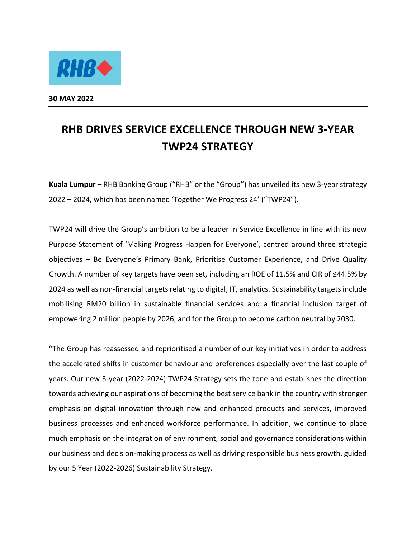

**30 MAY 2022** 

## **RHB DRIVES SERVICE EXCELLENCE THROUGH NEW 3-YEAR TWP24 STRATEGY**

**Kuala Lumpur** – RHB Banking Group ("RHB" or the "Group") has unveiled its new 3-year strategy 2022 – 2024, which has been named 'Together We Progress 24' ("TWP24").

TWP24 will drive the Group's ambition to be a leader in Service Excellence in line with its new Purpose Statement of 'Making Progress Happen for Everyone', centred around three strategic objectives – Be Everyone's Primary Bank, Prioritise Customer Experience, and Drive Quality Growth. A number of key targets have been set, including an ROE of 11.5% and CIR of ≤44.5% by 2024 as well as non-financial targets relating to digital, IT, analytics. Sustainability targets include mobilising RM20 billion in sustainable financial services and a financial inclusion target of empowering 2 million people by 2026, and for the Group to become carbon neutral by 2030.

"The Group has reassessed and reprioritised a number of our key initiatives in order to address the accelerated shifts in customer behaviour and preferences especially over the last couple of years. Our new 3-year (2022-2024) TWP24 Strategy sets the tone and establishes the direction towards achieving our aspirations of becoming the best service bank in the country with stronger emphasis on digital innovation through new and enhanced products and services, improved business processes and enhanced workforce performance. In addition, we continue to place much emphasis on the integration of environment, social and governance considerations within our business and decision-making process as well as driving responsible business growth, guided by our 5 Year (2022-2026) Sustainability Strategy.